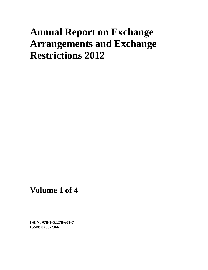## **Annual Report on Exchange Arrangements and Exchange Restrictions 2012**

**Volume 1 of 4** 

**ISBN: 978-1-62276-601-7 ISSN: 0250-7366**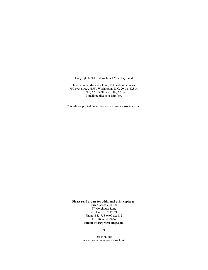Copyright ©2014 International Monetary Fund

International Monetary Fund, Publication Services 700 19th Street, N.W., Washington, D.C. 20431, U.S.A. Tel.: (202) 623-7430 Fax: (202) 623-7201 E-mail: publications@imf.org

This edition printed under license by Curran Associates, Inc.

**Please send orders for additional print copies to:** 

Curran Associates, Inc. 57 Morehouse Lane Red Hook, NY 12571 Phone: 845-758-0400 ext.112 Fax: 845-758-2634 **Email: info@proceedings.com** 

or

Order online: www.proceedings.com/5047.html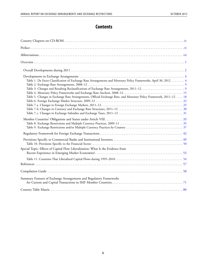## **Contents**

<span id="page-2-0"></span>

| Table 1. De Facto Classification of Exchange Rate Arrangements and Monetary Policy Frameworks, April 30, 2012  4<br>Table 5. Changes in Exchange Rate Arrangements, Official Exchange Rate, and Monetary Policy Framework, 2011-12  18 |
|----------------------------------------------------------------------------------------------------------------------------------------------------------------------------------------------------------------------------------------|
|                                                                                                                                                                                                                                        |
|                                                                                                                                                                                                                                        |
|                                                                                                                                                                                                                                        |
| Special Topic: Effects of Capital Flow Liberalization: What Is the Evidence from                                                                                                                                                       |
|                                                                                                                                                                                                                                        |
|                                                                                                                                                                                                                                        |
|                                                                                                                                                                                                                                        |
| Summary Features of Exchange Arrangements and Regulatory Frameworks                                                                                                                                                                    |
|                                                                                                                                                                                                                                        |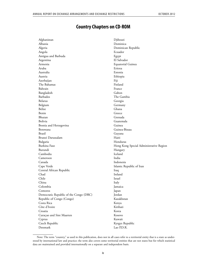## **Country Chapters on CD-ROM**

<span id="page-3-0"></span>Afghanistan Albania Algeria Angola Antigua and Barbuda Argentina Armenia Aruba Australia Austria Azerbaijan The Bahamas Bahrain Bangladesh Barbados Belarus Belgium Belize Benin Bhutan Bolivia Bosnia and Herzegovina Botswana Brazil Brunei Darussalam Bulgaria Burkina Faso Burundi Cambodia Cameroon Canada Cape Verde Central African Republic Chad Chile China Colombia Comoros Democratic Republic of the Congo (DRC) Republic of Congo (Congo) Costa Rica Côte d'Ivoire Croatia CuraÇao and Sint Maarten Cyprus Czech Republic Denmark Djibouti Dominica Dominican Republic Ecuador Egypt El Salvador Equatorial Guinea Eritrea Estonia Ethiopia Fiji Finland France Gabon The Gambia Georgia Germany Ghana Greece Grenada Guatemala Guinea Guinea-Bissau Guyana Haiti Honduras Hong Kong Special Administrative Region Hungary Iceland India Indonesia Islamic Republic of Iran Iraq Ireland Israel Italy Jamaica Japan Jordan Kazakhstan Kenya Kiribati Korea Kosovo Kuwait Kyrgyz Republic Lao P.D.R.

Note: The term "country," as used in this publication, does not in all cases refer to a territorial entity that is a state as understood by international law and practice; the term also covers some territorial entities that are not states but for which statistical data are maintained and provided internationally on a separate and independent basis.